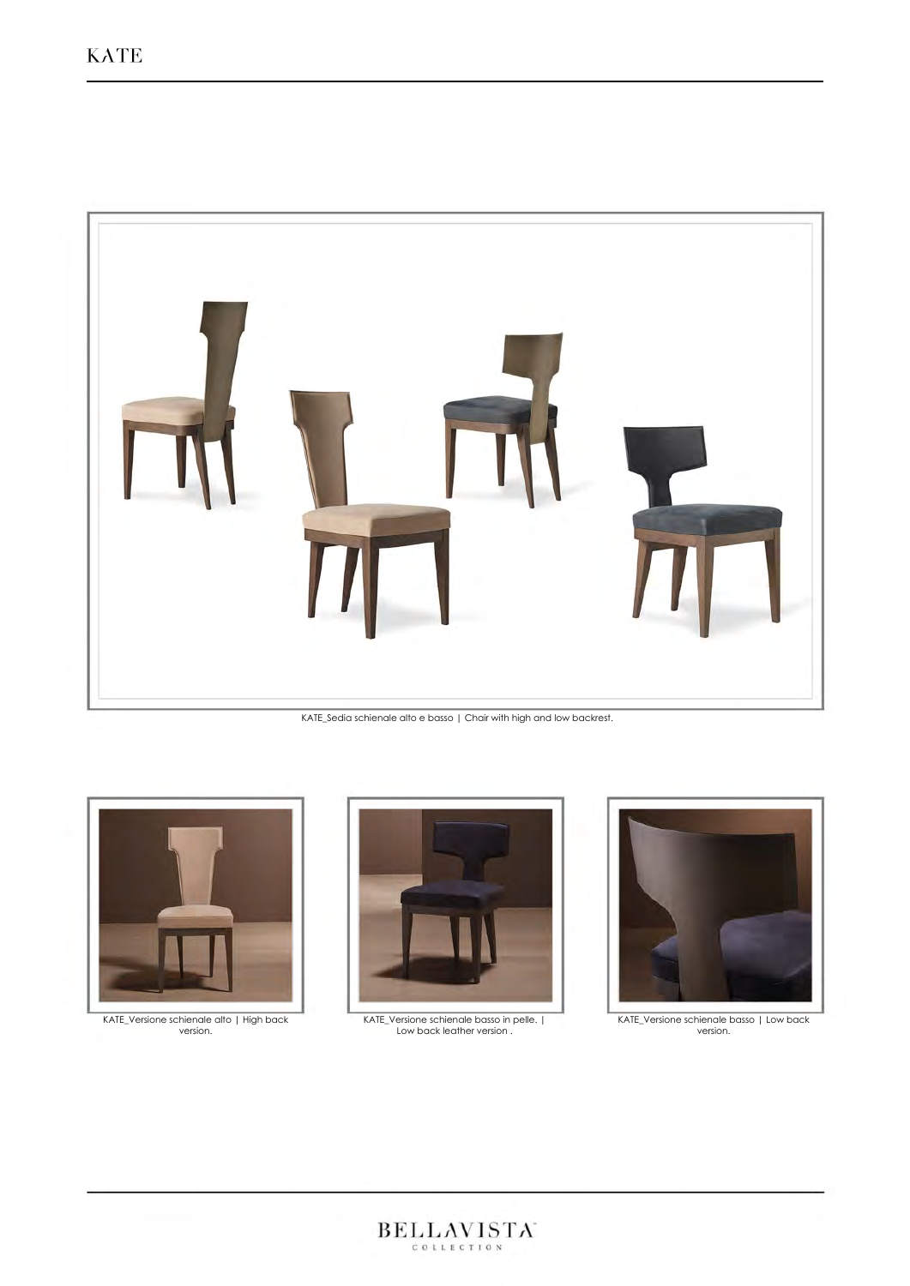

KATE\_Sedia schienale alto e basso | Chair with high and low backrest.



KATE\_Versione schienale alto | High back version.



KATE\_Versione schienale basso in pelle. | Low back leather version .



KATE\_Versione schienale basso | Low back version.

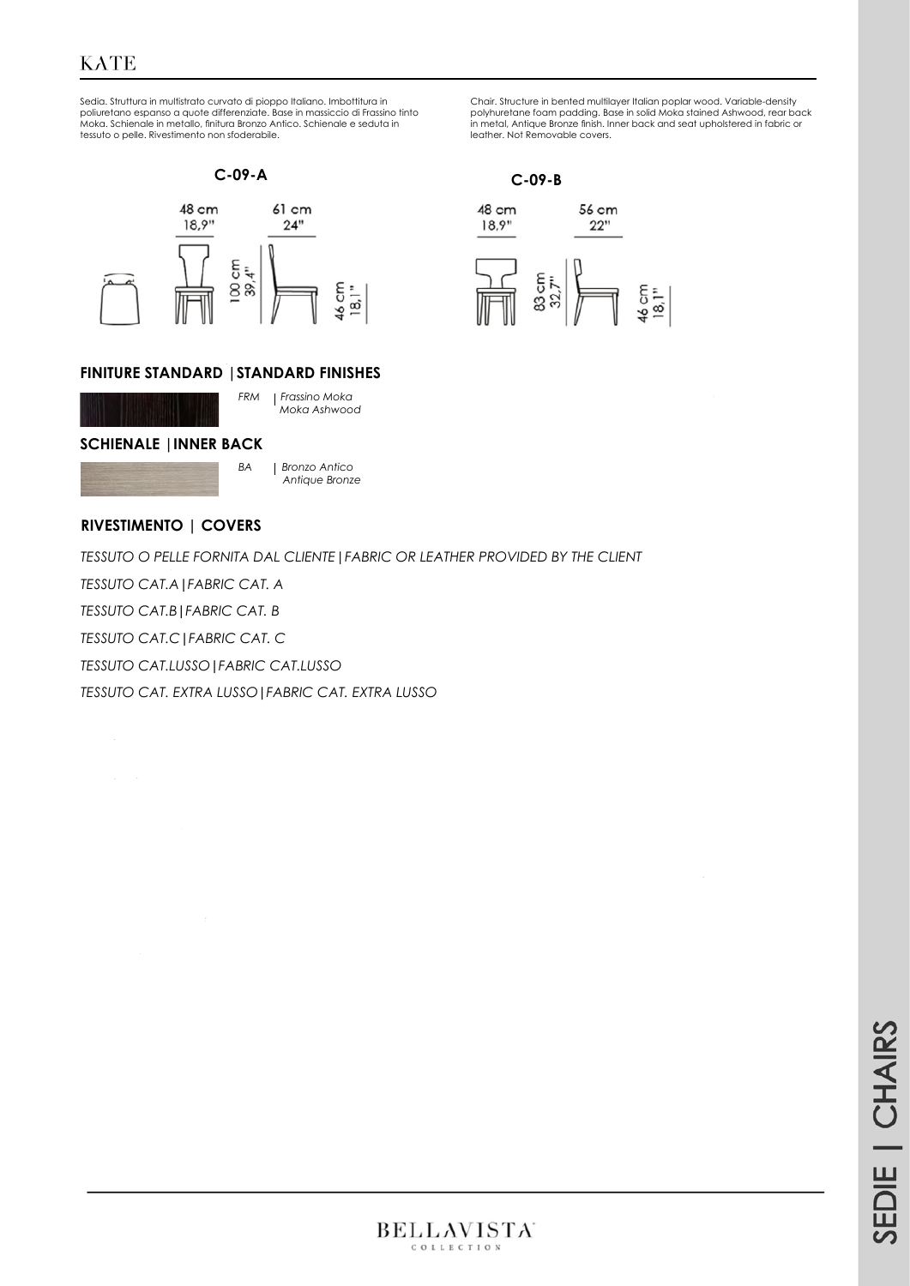# **KATE**

Sedia. Struttura in multistrato curvato di pioppo Italiano. Imbottitura in poliuretano espanso a quote differenziate. Base in massiccio di Frassino tinto Moka. Schienale in metallo, finitura Bronzo Antico. Schienale e seduta in tessuto o pelle. Rivestimento non sfoderabile.





### **FINITURE STANDARD |STANDARD FINISHES**



*FRM Frassino Moka Moka Ashwood*

#### **SCHIENALE |INNER BACK**



*BA Bronzo Antico Antique Bronze* 

## **RIVESTIMENTO | COVERS**

*TESSUTO O PELLE FORNITA DAL CLIENTE|FABRIC OR LEATHER PROVIDED BY THE CLIENT*

*TESSUTO CAT.A***|***FABRIC CAT. A* 

*TESSUTO CAT.B***|***FABRIC CAT. B*

*TESSUTO CAT.C***|***FABRIC CAT. C*

*TESSUTO CAT.LUSSO***|***FABRIC CAT.LUSSO*

*TESSUTO CAT. EXTRA LUSSO***|***FABRIC CAT. EXTRA LUSSO*

Chair. Structure in bented multilayer Italian poplar wood. Variable-density polyhuretane foam padding. Base in solid Moka stained Ashwood, rear back in metal, Antique Bronze finish. Inner back and seat upholstered in fabric or leather. Not Removable covers.